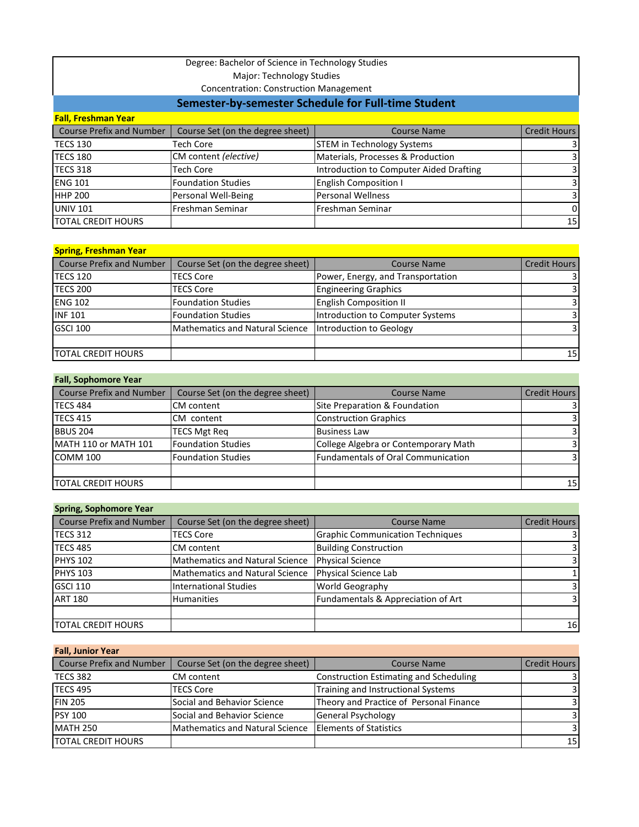# Degree: Bachelor of Science in Technology Studies

Major: Technology Studies

Concentration: Construction Management

# **Semester-by-semester Schedule for Full-time Student**

| <b>Fall, Freshman Year</b>      |                                  |                                         |                         |  |
|---------------------------------|----------------------------------|-----------------------------------------|-------------------------|--|
| <b>Course Prefix and Number</b> | Course Set (on the degree sheet) | <b>Course Name</b>                      | Credit Hours            |  |
| <b>TECS 130</b>                 | <b>Tech Core</b>                 | <b>STEM in Technology Systems</b>       | $\overline{\mathsf{3}}$ |  |
| <b>TECS 180</b>                 | CM content (elective)            | Materials, Processes & Production       | $\overline{3}$          |  |
| TECS 318                        | <b>Tech Core</b>                 | Introduction to Computer Aided Drafting | $\overline{3}$          |  |
| <b>ENG 101</b>                  | <b>Foundation Studies</b>        | <b>English Composition I</b>            | $\overline{3}$          |  |
| <b>HHP 200</b>                  | Personal Well-Being              | Personal Wellness                       | $\overline{3}$          |  |
| <b>UNIV 101</b>                 | Freshman Seminar                 | Freshman Seminar                        | $\Omega$                |  |
| <b>TOTAL CREDIT HOURS</b>       |                                  |                                         | 15                      |  |

| <b>Spring, Freshman Year</b> |                                  |                                   |                     |
|------------------------------|----------------------------------|-----------------------------------|---------------------|
| Course Prefix and Number     | Course Set (on the degree sheet) | <b>Course Name</b>                | <b>Credit Hours</b> |
| <b>TECS 120</b>              | <b>TECS Core</b>                 | Power, Energy, and Transportation | $\overline{3}$      |
| <b>TECS 200</b>              | <b>TECS Core</b>                 | <b>Engineering Graphics</b>       | $\overline{3}$      |
| <b>ENG 102</b>               | <b>Foundation Studies</b>        | <b>English Composition II</b>     | $\overline{3}$      |
| <b>INF 101</b>               | <b>Foundation Studies</b>        | Introduction to Computer Systems  | 3                   |
| <b>GSCI 100</b>              | Mathematics and Natural Science  | Introduction to Geology           | $\overline{3}$      |
|                              |                                  |                                   |                     |
| <b>TOTAL CREDIT HOURS</b>    |                                  |                                   | 15                  |

## **Fall, Sophomore Year**

| <b>Course Prefix and Number</b> | Course Set (on the degree sheet) | <b>Course Name</b>                        | Credit Hours            |
|---------------------------------|----------------------------------|-------------------------------------------|-------------------------|
| <b>TECS 484</b>                 | <b>CM</b> content                | Site Preparation & Foundation             | $\overline{\mathsf{3}}$ |
| <b>TECS 415</b>                 | CM content                       | <b>Construction Graphics</b>              | $\overline{\mathsf{3}}$ |
| <b>BBUS 204</b>                 | <b>TECS Mgt Req</b>              | <b>Business Law</b>                       | $\overline{\mathsf{3}}$ |
| MATH 110 or MATH 101            | <b>Foundation Studies</b>        | College Algebra or Contemporary Math      | $\overline{3}$          |
| COMM 100                        | <b>Foundation Studies</b>        | <b>Fundamentals of Oral Communication</b> | $\overline{3}$          |
|                                 |                                  |                                           |                         |
| <b>TOTAL CREDIT HOURS</b>       |                                  |                                           | 15 <sub>l</sub>         |

#### **Spring, Sophomore Year**

| <b>Course Prefix and Number</b> | Course Set (on the degree sheet)       | <b>Course Name</b>                      | Credit Hours |
|---------------------------------|----------------------------------------|-----------------------------------------|--------------|
| TECS 312                        | <b>TECS Core</b>                       | <b>Graphic Communication Techniques</b> |              |
| <b>TECS 485</b>                 | <b>CM</b> content                      | <b>Building Construction</b>            |              |
| <b>PHYS 102</b>                 | <b>Mathematics and Natural Science</b> | Physical Science                        |              |
| <b>PHYS 103</b>                 | Mathematics and Natural Science        | Physical Science Lab                    |              |
| <b>GSCI 110</b>                 | International Studies                  | <b>World Geography</b>                  |              |
| <b>ART 180</b>                  | <b>Humanities</b>                      | Fundamentals & Appreciation of Art      |              |
|                                 |                                        |                                         |              |
| <b>TOTAL CREDIT HOURS</b>       |                                        |                                         | 16           |

## **Fall, Junior Year**

| <b>Course Prefix and Number</b> | Course Set (on the degree sheet)                         | <b>Course Name</b>                            | Credit Hours   |
|---------------------------------|----------------------------------------------------------|-----------------------------------------------|----------------|
| <b>TECS 382</b>                 | CM content                                               | <b>Construction Estimating and Scheduling</b> | $\overline{3}$ |
| <b>TECS 495</b>                 | <b>TECS Core</b>                                         | Training and Instructional Systems            | $\overline{3}$ |
| <b>FIN 205</b>                  | Social and Behavior Science                              | Theory and Practice of Personal Finance       | 3              |
| <b>PSY 100</b>                  | Social and Behavior Science                              | <b>General Psychology</b>                     | $\overline{3}$ |
| <b>MATH 250</b>                 | Mathematics and Natural Science   Elements of Statistics |                                               | $\overline{3}$ |
| <b>TOTAL CREDIT HOURS</b>       |                                                          |                                               | 15             |